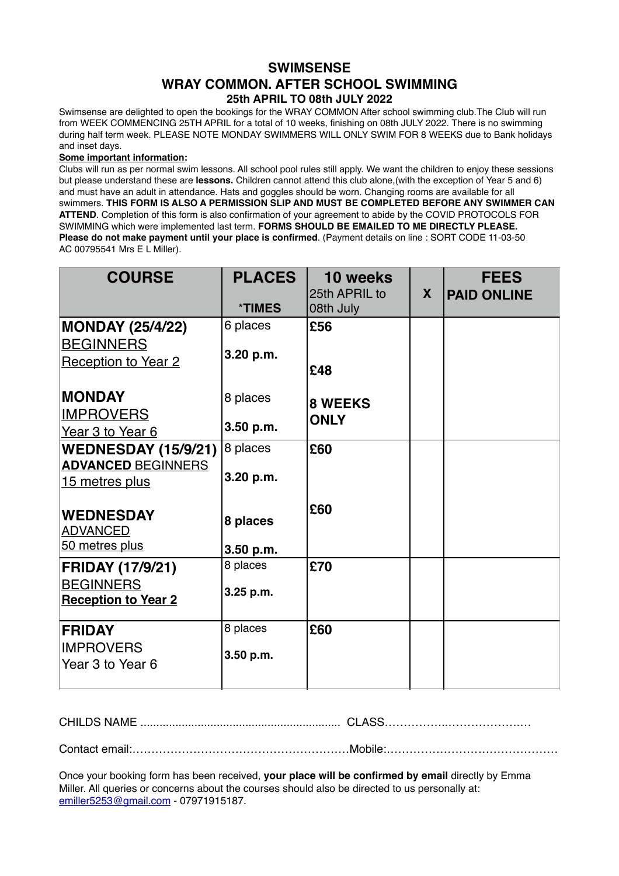## **SWIMSENSE WRAY COMMON. AFTER SCHOOL SWIMMING 25th APRIL TO 08th JULY 2022**

Swimsense are delighted to open the bookings for the WRAY COMMON After school swimming club.The Club will run from WEEK COMMENCING 25TH APRIL for a total of 10 weeks, finishing on 08th JULY 2022. There is no swimming during half term week. PLEASE NOTE MONDAY SWIMMERS WILL ONLY SWIM FOR 8 WEEKS due to Bank holidays and inset days.

## **Some important information:**

Clubs will run as per normal swim lessons. All school pool rules still apply. We want the children to enjoy these sessions but please understand these are **lessons.** Children cannot attend this club alone,(with the exception of Year 5 and 6) and must have an adult in attendance. Hats and goggles should be worn. Changing rooms are available for all swimmers. **THIS FORM IS ALSO A PERMISSION SLIP AND MUST BE COMPLETED BEFORE ANY SWIMMER CAN ATTEND**. Completion of this form is also confirmation of your agreement to abide by the COVID PROTOCOLS FOR SWIMMING which were implemented last term. **FORMS SHOULD BE EMAILED TO ME DIRECTLY PLEASE. Please do not make payment until your place is confirmed**. (Payment details on line : SORT CODE 11-03-50 AC 00795541 Mrs E L Miller).

| <b>COURSE</b>                                                             | <b>PLACES</b><br><b>*TIMES</b> | 10 weeks<br>25th APRIL to<br>08th July | X | <b>FEES</b><br><b>PAID ONLINE</b> |
|---------------------------------------------------------------------------|--------------------------------|----------------------------------------|---|-----------------------------------|
| <b>MONDAY (25/4/22)</b><br><b>BEGINNERS</b><br><b>Reception to Year 2</b> | 6 places<br>3.20 p.m.          | £56<br>£48                             |   |                                   |
| <b>MONDAY</b><br><b>IMPROVERS</b><br>Year 3 to Year 6                     | 8 places<br>3.50 p.m.          | <b>8 WEEKS</b><br><b>ONLY</b>          |   |                                   |
| <b>WEDNESDAY (15/9/21)</b><br><b>ADVANCED BEGINNERS</b><br>15 metres plus | 8 places<br>3.20 p.m.          | £60                                    |   |                                   |
| <b>WEDNESDAY</b><br><b>ADVANCED</b><br>50 metres plus                     | 8 places<br>3.50 p.m.          | £60                                    |   |                                   |
| <b>FRIDAY (17/9/21)</b><br><b>BEGINNERS</b><br><b>Reception to Year 2</b> | 8 places<br>3.25 p.m.          | £70                                    |   |                                   |
| <b>FRIDAY</b><br><b>IMPROVERS</b><br>Year 3 to Year 6                     | 8 places<br>3.50 p.m.          | £60                                    |   |                                   |

CHILDS NAME ............................................................... CLASS……………..……………….…

Contact email:…………………………………………………Mobile:………………………………………

Once your booking form has been received, **your place will be confirmed by email** directly by Emma Miller. All queries or concerns about the courses should also be directed to us personally at: [emiller5253@gmail.com](mailto:emiller5253@gmail.com) - 07971915187.